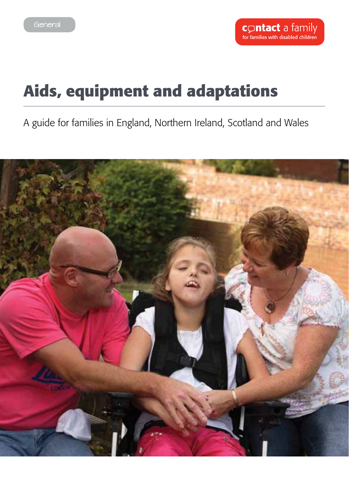# **Aids, equipment and adaptations**

A guide for families in England, Northern Ireland, Scotland and Wales

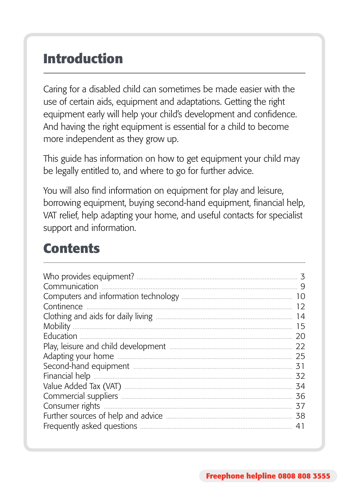## **Introduction**

Caring for a disabled child can sometimes be made easier with the use of certain aids, equipment and adaptations. Getting the right equipment early will help your child's development and confidence. And having the right equipment is essential for a child to become more independent as they grow up.

This guide has information on how to get equipment your child may be legally entitled to, and where to go for further advice.

You will also find information on equipment for play and leisure, borrowing equipment, buying second-hand equipment, financial help, VAT relief, help adapting your home, and useful contacts for specialist support and information.

## **Contents**

| Who provides equipment?<br>Communication | 3<br>9 |
|------------------------------------------|--------|
|                                          | 10     |
| Continence                               | 12     |
|                                          | 14     |
| <b>Mobility</b>                          | 15     |
| Education                                | 20     |
|                                          | 22     |
|                                          | 25     |
|                                          | 31     |
| Financial help                           | 32     |
|                                          | 34     |
|                                          | 36     |
| Consumer rights                          | 37     |
| Further sources of help and advice       | 38     |
| Frequently asked questions               | 41     |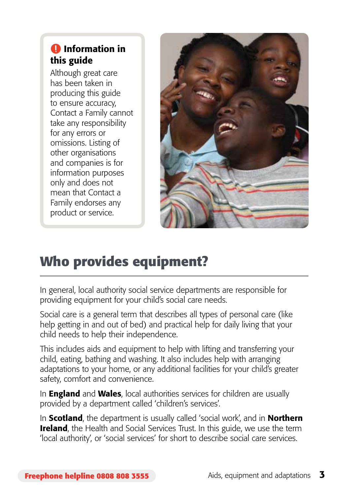## **O** Information in this guide

Although great care has been taken in producing this guide to ensure accuracy, Contact a Family cannot take any responsibility for any errors or omissions. Listing of other organisations and companies is for information purposes only and does not mean that Contact a Family endorses any product or service.



## **Who provides equipment?**

In general, local authority social service departments are responsible for providing equipment for your child's social care needs.

Social care is a general term that describes all types of personal care (like help getting in and out of bed) and practical help for daily living that your child needs to help their independence.

This includes aids and equipment to help with lifting and transferring your child, eating, bathing and washing. It also includes help with arranging adaptations to your home, or any additional facilities for your child's greater safety, comfort and convenience.

In **England** and **Wales**, local authorities services for children are usually provided by a department called 'children's services'.

In **Scotland**, the department is usually called 'social work', and in **Northern Ireland**, the Health and Social Services Trust. In this guide, we use the term 'local authority', or 'social services' for short to describe social care services.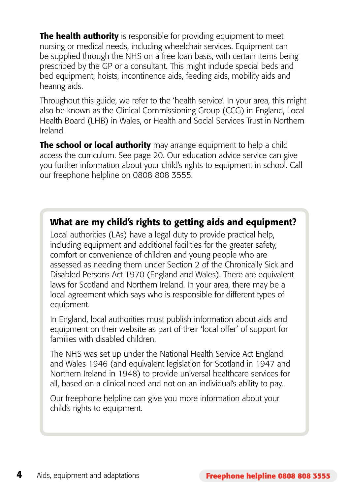**The health authority** is responsible for providing equipment to meet nursing or medical needs, including wheelchair services. Equipment can be supplied through the NHS on a free loan basis, with certain items being prescribed by the GP or a consultant. This might include special beds and bed equipment, hoists, incontinence aids, feeding aids, mobility aids and hearing aids.

Throughout this guide, we refer to the 'health service'. In your area, this might also be known as the Clinical Commissioning Group (CCG) in England, Local Health Board (LHB) in Wales, or Health and Social Services Trust in Northern Ireland.

The school or local authority may arrange equipment to help a child access the curriculum. See page 20. Our education advice service can give you further information about your child's rights to equipment in school. Call our freephone helpline on 0808 808 3555.

#### What are my child's rights to getting aids and equipment?

Local authorities (LAs) have a legal duty to provide practical help, including equipment and additional facilities for the greater safety, comfort or convenience of children and young people who are assessed as needing them under Section 2 of the Chronically Sick and Disabled Persons Act 1970 (England and Wales). There are equivalent laws for Scotland and Northern Ireland. In your area, there may be a local agreement which says who is responsible for different types of equipment.

In England, local authorities must publish information about aids and equipment on their website as part of their 'local offer' of support for families with disabled children.

The NHS was set up under the National Health Service Act England and Wales 1946 (and equivalent legislation for Scotland in 1947 and Northern Ireland in 1948) to provide universal healthcare services for all, based on a clinical need and not on an individual's ability to pay.

Our freephone helpline can give you more information about your child's rights to equipment.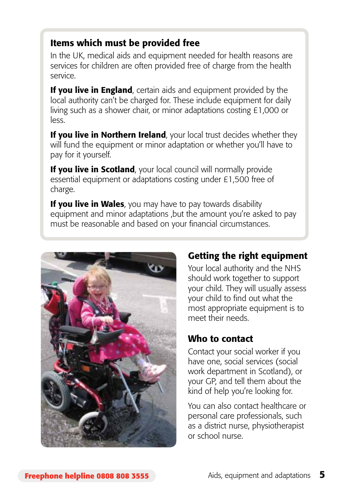#### Items which must be provided free

In the UK, medical aids and equipment needed for health reasons are services for children are often provided free of charge from the health service.

If you live in England, certain aids and equipment provided by the local authority can't be charged for. These include equipment for daily living such as a shower chair, or minor adaptations costing £1,000 or less.

If you live in Northern Ireland, your local trust decides whether they will fund the equipment or minor adaptation or whether you'll have to pay for it yourself.

If you live in Scotland, your local council will normally provide essential equipment or adaptations costing under £1,500 free of charge.

If you live in Wales, you may have to pay towards disability equipment and minor adaptations ,but the amount you're asked to pay must be reasonable and based on your financial circumstances.



### Getting the right equipment

Your local authority and the NHS should work together to support your child. They will usually assess your child to find out what the most appropriate equipment is to meet their needs.

#### Who to contact

Contact your social worker if you have one, social services (social work department in Scotland), or your GP, and tell them about the kind of help you're looking for.

You can also contact healthcare or personal care professionals, such as a district nurse, physiotherapist or school nurse.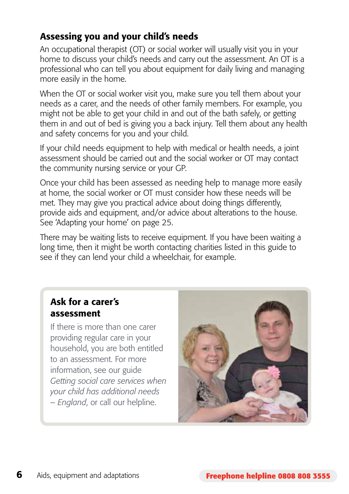### Assessing you and your child's needs

An occupational therapist (OT) or social worker will usually visit you in your home to discuss your child's needs and carry out the assessment. An OT is a professional who can tell you about equipment for daily living and managing more easily in the home.

When the OT or social worker visit you, make sure you tell them about your needs as a carer, and the needs of other family members. For example, you might not be able to get your child in and out of the bath safely, or getting them in and out of bed is giving you a back injury. Tell them about any health and safety concerns for you and your child.

If your child needs equipment to help with medical or health needs, a joint assessment should be carried out and the social worker or OT may contact the community nursing service or your GP.

Once your child has been assessed as needing help to manage more easily at home, the social worker or OT must consider how these needs will be met. They may give you practical advice about doing things differently, provide aids and equipment, and/or advice about alterations to the house. See 'Adapting your home' on page 25.

There may be waiting lists to receive equipment. If you have been waiting a long time, then it might be worth contacting charities listed in this guide to see if they can lend your child a wheelchair, for example.

#### Ask for a carer's assessment

If there is more than one carer providing regular care in your household, you are both entitled to an assessment. For more information, see our guide *Getting social care services when your child has additional needs – England*, or call our helpline.

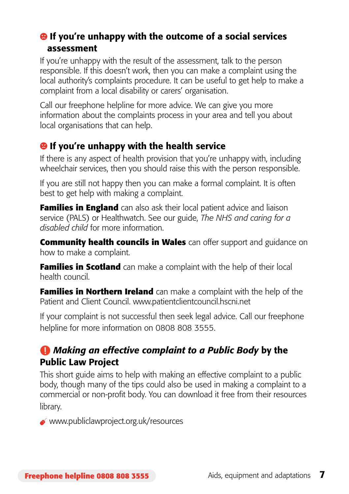#### $\Theta$  If you're unhappy with the outcome of a social services assessment

If you're unhappy with the result of the assessment, talk to the person responsible. If this doesn't work, then you can make a complaint using the local authority's complaints procedure. It can be useful to get help to make a complaint from a local disability or carers' organisation.

Call our freephone helpline for more advice. We can give you more information about the complaints process in your area and tell you about local organisations that can help.

## $\Theta$  If you're unhappy with the health service

If there is any aspect of health provision that you're unhappy with, including wheelchair services, then you should raise this with the person responsible.

If you are still not happy then you can make a formal complaint. It is often best to get help with making a complaint.

**Families in England** can also ask their local patient advice and liaison service (PALS) or Healthwatch. See our guide, *The NHS and caring for a disabled child* for more information.

**Community health councils in Wales** can offer support and guidance on how to make a complaint.

**Families in Scotland** can make a complaint with the help of their local health council.

**Families in Northern Ireland** can make a complaint with the help of the Patient and Client Council. www.patientclientcouncil.hscni.net

If your complaint is not successful then seek legal advice. Call our freephone helpline for more information on 0808 808 3555.

## *Making an effective complaint to a Public Body* by the Public Law Project

This short guide aims to help with making an effective complaint to a public body, though many of the tips could also be used in making a complaint to a commercial or non-profit body. You can download it free from their resources library.

www.publiclawproject.org.uk/resources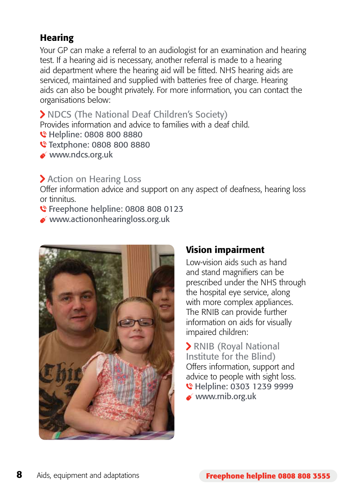## **Hearing**

Your GP can make a referral to an audiologist for an examination and hearing test. If a hearing aid is necessary, another referral is made to a hearing aid department where the hearing aid will be fitted. NHS hearing aids are serviced, maintained and supplied with batteries free of charge. Hearing aids can also be bought privately. For more information, you can contact the organisations below:

NDCS (The National Deaf Children's Society)

Provides information and advice to families with a deaf child.

- C Helpline: 0808 800 8880
- Textphone: 0808 800 8880
- www.ndcs.org.uk

#### > Action on Hearing Loss

Offer information advice and support on any aspect of deafness, hearing loss or tinnitus.

- **€** Freephone helpline: 0808 808 0123
- www.actiononhearingloss.org.uk



#### Vision impairment

Low-vision aids such as hand and stand magnifiers can be prescribed under the NHS through the hospital eye service, along with more complex appliances. The RNIB can provide further information on aids for visually impaired children:

 RNIB (Royal National Institute for the Blind) Offers information, support and advice to people with sight loss. C Helpline: 0303 1239 9999 www.rnib.org.uk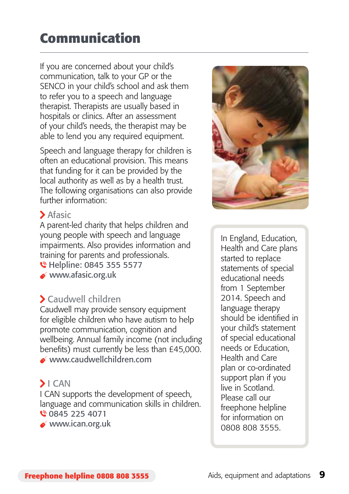## **Communication**

If you are concerned about your child's communication, talk to your GP or the SENCO in your child's school and ask them to refer you to a speech and language therapist. Therapists are usually based in hospitals or clinics. After an assessment of your child's needs, the therapist may be able to lend you any required equipment.

Speech and language therapy for children is often an educational provision. This means that funding for it can be provided by the local authority as well as by a health trust. The following organisations can also provide further information:

#### > Afasic

A parent-led charity that helps children and young people with speech and language impairments. Also provides information and training for parents and professionals. C Helpline: 0845 355 5577

www.afasic.org.uk

#### Caudwell children

Caudwell may provide sensory equipment for eligible children who have autism to help promote communication, cognition and wellbeing. Annual family income (not including benefits) must currently be less than £45,000. www.caudwellchildren.com

#### $\blacktriangleright$  I CAN

I CAN supports the development of speech, language and communication skills in children. € 0845 225 4071

www.ican.org.uk



In England, Education, Health and Care plans started to replace statements of special educational needs from 1 September 2014. Speech and language therapy should be identified in your child's statement of special educational needs or Education, Health and Care plan or co-ordinated support plan if you live in Scotland. Please call our freephone helpline for information on 0808 808 3555.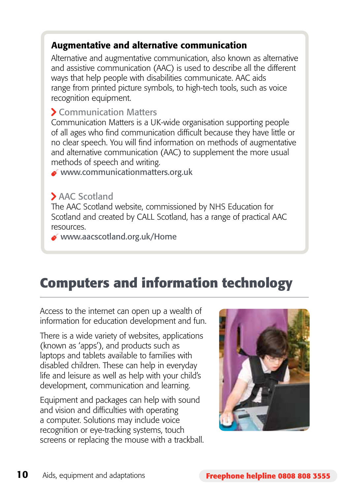### Augmentative and alternative communication

Alternative and augmentative communication, also known as alternative and assistive communication (AAC) is used to describe all the different ways that help people with disabilities communicate. AAC aids range from printed picture symbols, to high-tech tools, such as voice recognition equipment.

#### Communication Matters

Communication Matters is a UK-wide organisation supporting people of all ages who find communication difficult because they have little or no clear speech. You will find information on methods of augmentative and alternative communication (AAC) to supplement the more usual methods of speech and writing.

www.communicationmatters.org.uk

#### AAC Scotland

The AAC Scotland website, commissioned by NHS Education for Scotland and created by CALL Scotland, has a range of practical AAC resources.

www.aacscotland.org.uk/Home

## **Computers and information technology**

Access to the internet can open up a wealth of information for education development and fun.

There is a wide variety of websites, applications (known as 'apps'), and products such as laptops and tablets available to families with disabled children. These can help in everyday life and leisure as well as help with your child's development, communication and learning.

Equipment and packages can help with sound and vision and difficulties with operating a computer. Solutions may include voice recognition or eye-tracking systems, touch screens or replacing the mouse with a trackball.

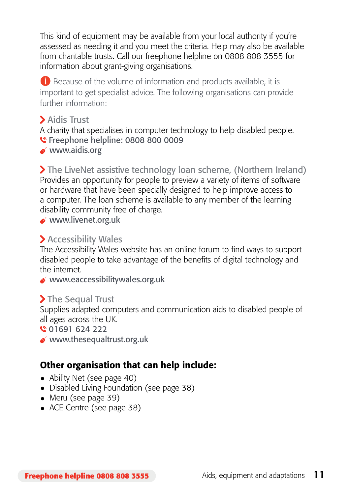This kind of equipment may be available from your local authority if you're assessed as needing it and you meet the criteria. Help may also be available from charitable trusts. Call our freephone helpline on 0808 808 3555 for information about grant-giving organisations.

**B** Because of the volume of information and products available, it is important to get specialist advice. The following organisations can provide further information:

Aidis Trust

A charity that specialises in computer technology to help disabled people. **€** Freephone helpline: 0808 800 0009

www.aidis.org

 The LiveNet assistive technology loan scheme, (Northern Ireland) Provides an opportunity for people to preview a variety of items of software or hardware that have been specially designed to help improve access to a computer. The loan scheme is available to any member of the learning disability community free of charge.

www.livenet.org.uk

#### Accessibility Wales

The Accessibility Wales website has an online forum to find ways to support disabled people to take advantage of the benefits of digital technology and the internet.

www.eaccessibilitywales.org.uk

#### > The Sequal Trust

Supplies adapted computers and communication aids to disabled people of all ages across the UK.

01691 624 222

www.thesequaltrust.org.uk

## Other organisation that can help include:

- Ability Net (see page 40)
- Disabled Living Foundation (see page 38)
- $\bullet$  Meru (see page 39)
- ACE Centre (see page 38)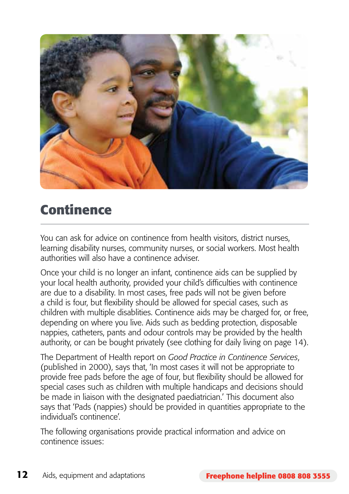

## **Continence**

You can ask for advice on continence from health visitors, district nurses, learning disability nurses, community nurses, or social workers. Most health authorities will also have a continence adviser.

Once your child is no longer an infant, continence aids can be supplied by your local health authority, provided your child's difficulties with continence are due to a disability. In most cases, free pads will not be given before a child is four, but flexibility should be allowed for special cases, such as children with multiple disablities. Continence aids may be charged for, or free, depending on where you live. Aids such as bedding protection, disposable nappies, catheters, pants and odour controls may be provided by the health authority, or can be bought privately (see clothing for daily living on page 14).

The Department of Health report on *Good Practice in Continence Services*, (published in 2000), says that, 'In most cases it will not be appropriate to provide free pads before the age of four, but flexibility should be allowed for special cases such as children with multiple handicaps and decisions should be made in liaison with the designated paediatrician.' This document also says that 'Pads (nappies) should be provided in quantities appropriate to the individual's continence'.

The following organisations provide practical information and advice on continence issues: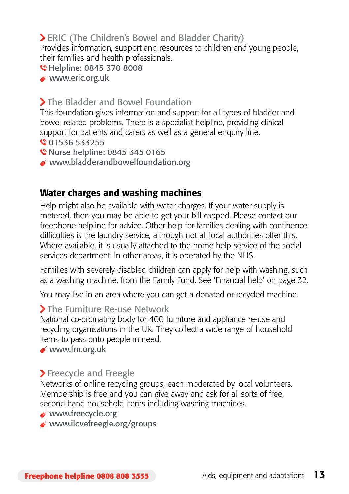## ERIC (The Children's Bowel and Bladder Charity)

Provides information, support and resources to children and young people, their families and health professionals.

- C Helpline: 0845 370 8008
- www.eric.org.uk

#### The Bladder and Bowel Foundation

This foundation gives information and support for all types of bladder and bowel related problems. There is a specialist helpline, providing clinical support for patients and carers as well as a general enquiry line. € 01536 533255

- Nurse helpline: 0845 345 0165
- www.bladderandbowelfoundation.org

#### Water charges and washing machines

Help might also be available with water charges. If your water supply is metered, then you may be able to get your bill capped. Please contact our freephone helpline for advice. Other help for families dealing with continence difficulties is the laundry service, although not all local authorities offer this. Where available, it is usually attached to the home help service of the social services department. In other areas, it is operated by the NHS.

Families with severely disabled children can apply for help with washing, such as a washing machine, from the Family Fund. See 'Financial help' on page 32.

You may live in an area where you can get a donated or recycled machine.

#### > The Furniture Re-use Network

National co-ordinating body for 400 furniture and appliance re-use and recycling organisations in the UK. They collect a wide range of household items to pass onto people in need.

www.frn.org.uk

#### > Freecycle and Freegle

Networks of online recycling groups, each moderated by local volunteers. Membership is free and you can give away and ask for all sorts of free, second-hand household items including washing machines.

- www.freecycle.org
- www.ilovefreegle.org/groups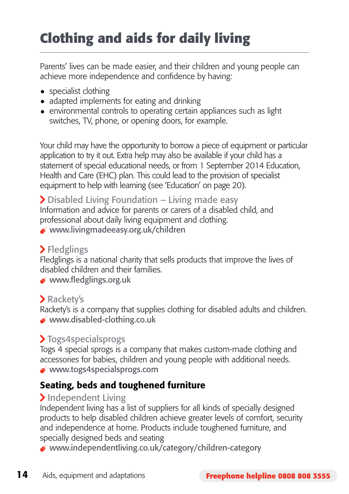# **Clothing and aids for daily living**

Parents' lives can be made easier, and their children and young people can achieve more independence and confidence by having:

- specialist clothing
- adapted implements for eating and drinking
- environmental controls to operating certain appliances such as light switches, TV, phone, or opening doors, for example.

Your child may have the opportunity to borrow a piece of equipment or particular application to try it out. Extra help may also be available if your child has a statement of special educational needs, or from 1 September 2014 Education, Health and Care (EHC) plan. This could lead to the provision of specialist equipment to help with learning (see 'Education' on page 20).

 Disabled Living Foundation – Living made easy Information and advice for parents or carers of a disabled child, and professional about daily living equipment and clothing. www.livingmadeeasy.org.uk/children

#### > Fledglings

Fledglings is a national charity that sells products that improve the lives of disabled children and their families.

www.fledglings.org.uk

#### > Rackety's

Rackety's is a company that supplies clothing for disabled adults and children. www.disabled-clothing.co.uk

### >Togs4specialsprogs

Togs 4 special sprogs is a company that makes custom-made clothing and accessories for babies, children and young people with additional needs. www.togs4specialsprogs.com

### Seating, beds and toughened furniture

#### > Independent Living

Independent living has a list of suppliers for all kinds of specially designed products to help disabled children achieve greater levels of comfort, security and independence at home. Products include toughened furniture, and specially designed beds and seating

www.independentliving.co.uk/category/children-category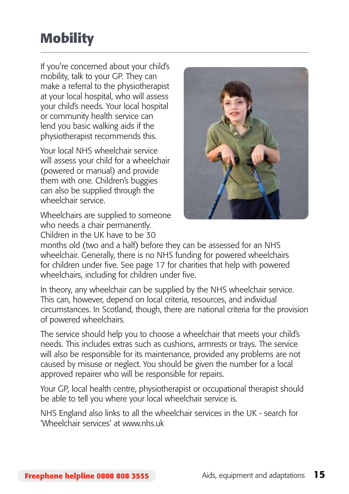## **Mobility**

If you're concerned about your child's mobility, talk to your GP. They can make a referral to the physiotherapist at your local hospital, who will assess your child's needs. Your local hospital or community health service can lend you basic walking aids if the physiotherapist recommends this.

Your local NHS wheelchair service will assess your child for a wheelchair (powered or manual) and provide them with one. Children's buggies can also be supplied through the wheelchair service.

Wheelchairs are supplied to someone who needs a chair permanently. Children in the UK have to be 30



months old (two and a half) before they can be assessed for an NHS wheelchair. Generally, there is no NHS funding for powered wheelchairs for children under five. See page 17 for charities that help with powered wheelchairs, including for children under five.

In theory, any wheelchair can be supplied by the NHS wheelchair service. This can, however, depend on local criteria, resources, and individual circumstances. In Scotland, though, there are national criteria for the provision of powered wheelchairs.

The service should help you to choose a wheelchair that meets your child's needs. This includes extras such as cushions, armrests or trays. The service will also be responsible for its maintenance, provided any problems are not caused by misuse or neglect. You should be given the number for a local approved repairer who will be responsible for repairs.

Your GP, local health centre, physiotherapist or occupational therapist should be able to tell you where your local wheelchair service is.

NHS England also links to all the wheelchair services in the UK - search for 'Wheelchair services' at www.nhs.uk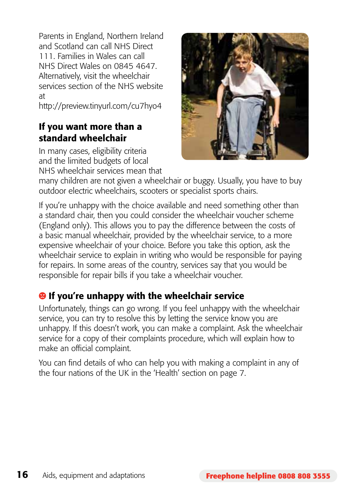Parents in England, Northern Ireland and Scotland can call NHS Direct 111. Families in Wales can call NHS Direct Wales on 0845 4647. Alternatively, visit the wheelchair services section of the NHS website at

http://preview.tinyurl.com/cu7hyo4

#### If you want more than a standard wheelchair

In many cases, eligibility criteria and the limited budgets of local NHS wheelchair services mean that



many children are not given a wheelchair or buggy. Usually, you have to buy outdoor electric wheelchairs, scooters or specialist sports chairs.

If you're unhappy with the choice available and need something other than a standard chair, then you could consider the wheelchair voucher scheme (England only). This allows you to pay the difference between the costs of a basic manual wheelchair, provided by the wheelchair service, to a more expensive wheelchair of your choice. Before you take this option, ask the wheelchair service to explain in writing who would be responsible for paying for repairs. In some areas of the country, services say that you would be responsible for repair bills if you take a wheelchair voucher.

## $\Theta$  If you're unhappy with the wheelchair service

Unfortunately, things can go wrong. If you feel unhappy with the wheelchair service, you can try to resolve this by letting the service know you are unhappy. If this doesn't work, you can make a complaint. Ask the wheelchair service for a copy of their complaints procedure, which will explain how to make an official complaint.

You can find details of who can help you with making a complaint in any of the four nations of the UK in the 'Health' section on page 7.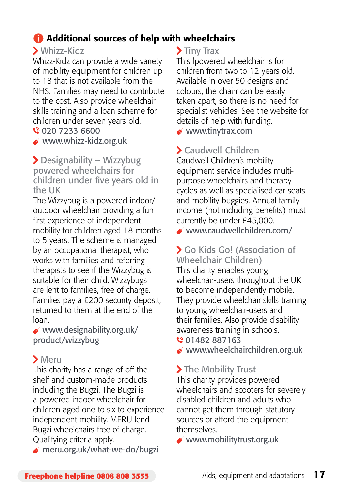## Additional sources of help with wheelchairs

#### Whizz-Kidz

Whizz-Kidz can provide a wide variety of mobility equipment for children up to 18 that is not available from the NHS. Families may need to contribute to the cost. Also provide wheelchair skills training and a loan scheme for children under seven years old.

020 7233 6600

www.whizz-kidz.org.uk

 Designability – Wizzybug powered wheelchairs for children under five years old in the UK

The Wizzybug is a powered indoor/ outdoor wheelchair providing a fun first experience of independent mobility for children aged 18 months to 5 years. The scheme is managed by an occupational therapist, who works with families and referring therapists to see if the Wizzybug is suitable for their child. Wizzybugs are lent to families, free of charge. Families pay a £200 security deposit, returned to them at the end of the loan.

 www.designability.org.uk/ product/wizzybug

### Meru

This charity has a range of off-theshelf and custom-made products including the Bugzi. The Bugzi is a powered indoor wheelchair for children aged one to six to experience independent mobility. MERU lend Bugzi wheelchairs free of charge. Qualifying criteria apply.

meru.org.uk/what-we-do/bugzi

#### > Tiny Trax

This lpowered wheelchair is for children from two to 12 years old. Available in over 50 designs and colours, the chairr can be easily taken apart, so there is no need for specialist vehicles. See the website for details of help with funding.

www.tinytrax.com

## Caudwell Children

Caudwell Children's mobility equipment service includes multipurpose wheelchairs and therapy cycles as well as specialised car seats and mobility buggies. Annual family income (not including benefits) must currently be under £45,000.

www.caudwellchildren.com/

### Go Kids Go! (Association of Wheelchair Children)

This charity enables young wheelchair-users throughout the UK to become independently mobile. They provide wheelchair skills training to young wheelchair-users and their families. Also provide disability awareness training in schools.

€ 01482 887163

www.wheelchairchildren.org.uk

## > The Mobility Trust

This charity provides powered wheelchairs and scooters for severely disabled children and adults who cannot get them through statutory sources or afford the equipment themselves.

www.mobilitytrust.org.uk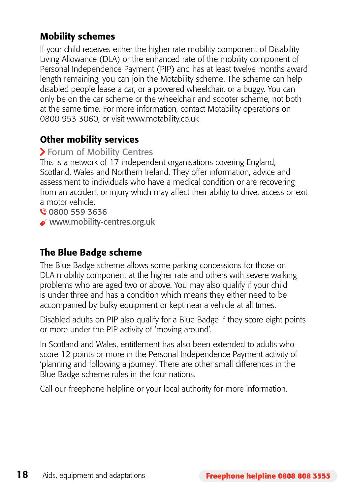#### Mobility schemes

If your child receives either the higher rate mobility component of Disability Living Allowance (DLA) or the enhanced rate of the mobility component of Personal Independence Payment (PIP) and has at least twelve months award length remaining, you can join the Motability scheme. The scheme can help disabled people lease a car, or a powered wheelchair, or a buggy. You can only be on the car scheme or the wheelchair and scooter scheme, not both at the same time. For more information, contact Motability operations on 0800 953 3060, or visit www.motability.co.uk

#### Other mobility services

#### **> Forum of Mobility Centres**

This is a network of 17 independent organisations covering England, Scotland, Wales and Northern Ireland. They offer information, advice and assessment to individuals who have a medical condition or are recovering from an accident or injury which may affect their ability to drive, access or exit a motor vehicle.

0800 559 3636

www.mobility-centres.org.uk

#### The Blue Badge scheme

The Blue Badge scheme allows some parking concessions for those on DLA mobility component at the higher rate and others with severe walking problems who are aged two or above. You may also qualify if your child is under three and has a condition which means they either need to be accompanied by bulky equipment or kept near a vehicle at all times.

Disabled adults on PIP also qualify for a Blue Badge if they score eight points or more under the PIP activity of 'moving around'.

In Scotland and Wales, entitlement has also been extended to adults who score 12 points or more in the Personal Independence Payment activity of 'planning and following a journey'. There are other small differences in the Blue Badge scheme rules in the four nations.

Call our freephone helpline or your local authority for more information.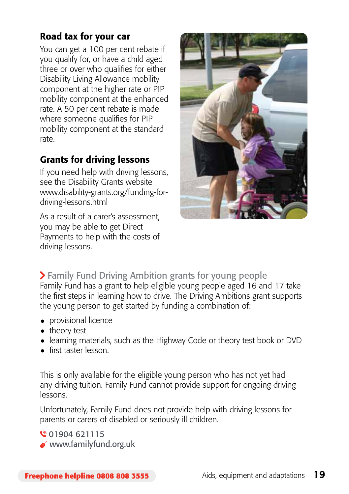#### Road tax for your car

You can get a 100 per cent rebate if you qualify for, or have a child aged three or over who qualifies for either Disability Living Allowance mobility component at the higher rate or PIP mobility component at the enhanced rate. A 50 per cent rebate is made where someone qualifies for PIP mobility component at the standard rate.

## Grants for driving lessons

If you need help with driving lessons, see the Disability Grants website www.disability-grants.org/funding-fordriving-lessons.html

As a result of a carer's assessment, you may be able to get Direct Payments to help with the costs of driving lessons.



## Family Fund Driving Ambition grants for young people

Family Fund has a grant to help eligible young people aged 16 and 17 take the first steps in learning how to drive. The Driving Ambitions grant supports the young person to get started by funding a combination of:

- provisional licence
- theory test
- learning materials, such as the Highway Code or theory test book or DVD
- first taster lesson.

This is only available for the eligible young person who has not yet had any driving tuition. Family Fund cannot provide support for ongoing driving lessons.

Unfortunately, Family Fund does not provide help with driving lessons for parents or carers of disabled or seriously ill children.

 01904 621115 www.familyfund.org.uk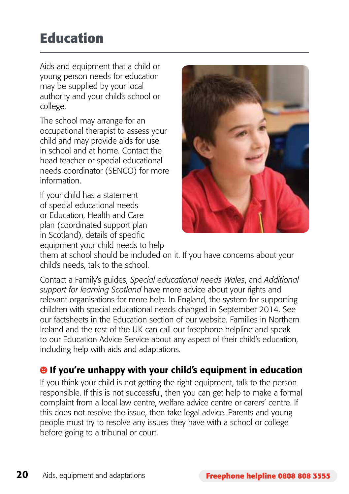## **Education**

Aids and equipment that a child or young person needs for education may be supplied by your local authority and your child's school or college.

The school may arrange for an occupational therapist to assess your child and may provide aids for use in school and at home. Contact the head teacher or special educational needs coordinator (SENCO) for more information.

If your child has a statement of special educational needs or Education, Health and Care plan (coordinated support plan in Scotland), details of specific equipment your child needs to help



them at school should be included on it. If you have concerns about your child's needs, talk to the school.

Contact a Family's guides, *Special educational needs Wales*, and *Additional support for learning Scotland* have more advice about your rights and relevant organisations for more help. In England, the system for supporting children with special educational needs changed in September 2014. See our factsheets in the Education section of our website. Families in Northern Ireland and the rest of the UK can call our freephone helpline and speak to our Education Advice Service about any aspect of their child's education, including help with aids and adaptations.

## <sup>9</sup> If you're unhappy with your child's equipment in education

If you think your child is not getting the right equipment, talk to the person responsible. If this is not successful, then you can get help to make a formal complaint from a local law centre, welfare advice centre or carers' centre. If this does not resolve the issue, then take legal advice. Parents and young people must try to resolve any issues they have with a school or college before going to a tribunal or court.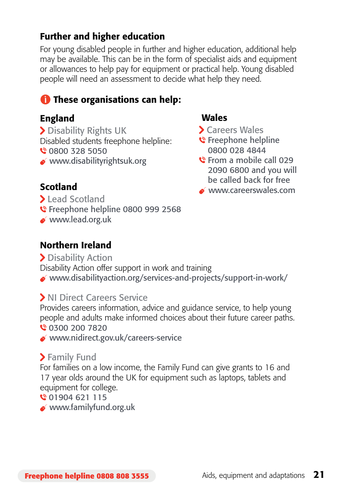#### Further and higher education

For young disabled people in further and higher education, additional help may be available. This can be in the form of specialist aids and equipment or allowances to help pay for equipment or practical help. Young disabled people will need an assessment to decide what help they need.

## **These organisations can help:**

#### England

> Disability Rights UK Disabled students freephone helpline: 0800 328 5050 www.disabilityrightsuk.org

#### Wales

- Careers Wales
- S Freephone helpline 0800 028 4844
- From a mobile call 029 2090 6800 and you will be called back for free
- www.careerswales.com

### Scotland

- **Lead Scotland**
- C Freephone helpline 0800 999 2568
- www.lead.org.uk

### Northern Ireland

> Disability Action Disability Action offer support in work and training www.disabilityaction.org/services-and-projects/support-in-work/

### **> NI Direct Careers Service**

Provides careers information, advice and guidance service, to help young people and adults make informed choices about their future career paths. 0300 200 7820

www.nidirect.gov.uk/careers-service

## > Family Fund

For families on a low income, the Family Fund can give grants to 16 and 17 year olds around the UK for equipment such as laptops, tablets and equipment for college.

#### 01904 621 115

www.familyfund.org.uk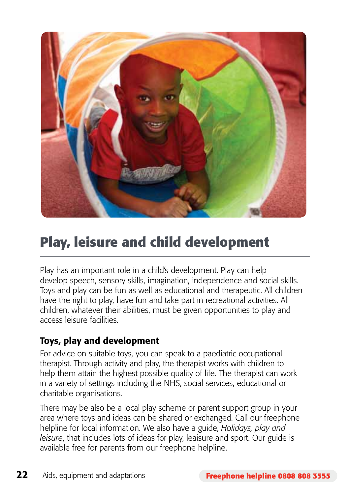

## **Play, leisure and child development**

Play has an important role in a child's development. Play can help develop speech, sensory skills, imagination, independence and social skills. Toys and play can be fun as well as educational and therapeutic. All children have the right to play, have fun and take part in recreational activities. All children, whatever their abilities, must be given opportunities to play and access leisure facilities.

### Toys, play and development

For advice on suitable toys, you can speak to a paediatric occupational therapist. Through activity and play, the therapist works with children to help them attain the highest possible quality of life. The therapist can work in a variety of settings including the NHS, social services, educational or charitable organisations.

There may be also be a local play scheme or parent support group in your area where toys and ideas can be shared or exchanged. Call our freephone helpline for local information. We also have a guide, *Holidays, play and leisure*, that includes lots of ideas for play, leaisure and sport. Our guide is available free for parents from our freephone helpline.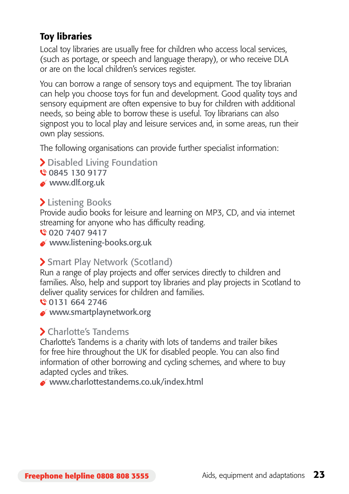#### Toy libraries

Local toy libraries are usually free for children who access local services, (such as portage, or speech and language therapy), or who receive DLA or are on the local children's services register.

You can borrow a range of sensory toys and equipment. The toy librarian can help you choose toys for fun and development. Good quality toys and sensory equipment are often expensive to buy for children with additional needs, so being able to borrow these is useful. Toy librarians can also signpost you to local play and leisure services and, in some areas, run their own play sessions.

The following organisations can provide further specialist information:

- > Disabled Living Foundation
- 0845 130 9177
- www.dlf.org.uk

#### > Listening Books

Provide audio books for leisure and learning on MP3, CD, and via internet streaming for anyone who has difficulty reading.

- 020 7407 9417
- www.listening-books.org.uk

#### > Smart Play Network (Scotland)

Run a range of play projects and offer services directly to children and families. Also, help and support toy libraries and play projects in Scotland to deliver quality services for children and families.

- 0131 664 2746
- www.smartplaynetwork.org

#### Charlotte's Tandems

Charlotte's Tandems is a charity with lots of tandems and trailer bikes for free hire throughout the UK for disabled people. You can also find information of other borrowing and cycling schemes, and where to buy adapted cycles and trikes.

www.charlottestandems.co.uk/index.html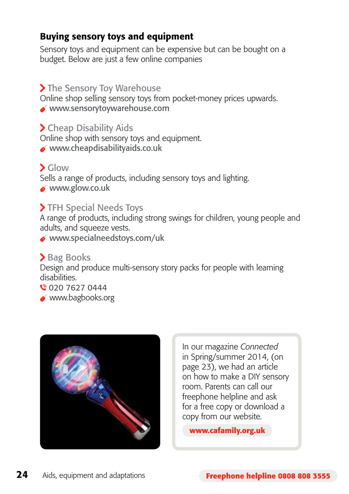#### Buying sensory toys and equipment

Sensory toys and equipment can be expensive but can be bought on a budget. Below are just a few online companies

#### > The Sensory Toy Warehouse

Online shop selling sensory toys from pocket-money prices upwards.

www.sensorytoywarehouse.com

Cheap Disability Aids

Online shop with sensory toys and equipment.

www.cheapdisabilityaids.co.uk

### Glow

Sells a range of products, including sensory toys and lighting.

www.glow.co.uk

#### > TFH Special Needs Toys

A range of products, including strong swings for children, young people and adults, and squeeze vests.

www.specialneedstoys.com/uk

#### > Bag Books

Design and produce multi-sensory story packs for people with learning disabilities.

020 7627 0444

www.bagbooks.org



In our magazine *Connected*  in Spring/summer 2014, (on page 23), we had an article on how to make a DIY sensory room. Parents can call our freephone helpline and ask for a free copy or download a copy from our website.

**www.cafamily.org.uk**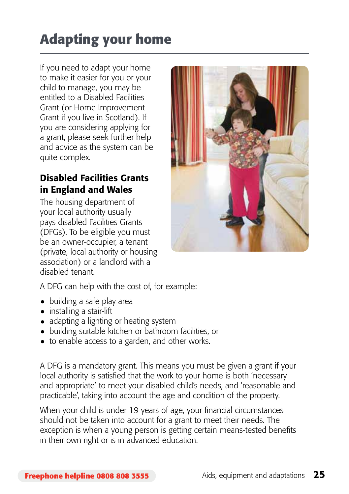# **Adapting your home**

If you need to adapt your home to make it easier for you or your child to manage, you may be entitled to a Disabled Facilities Grant (or Home Improvement Grant if you live in Scotland). If you are considering applying for a grant, please seek further help and advice as the system can be quite complex.

## Disabled Facilities Grants in England and Wales

The housing department of your local authority usually pays disabled Facilities Grants (DFGs). To be eligible you must be an owner-occupier, a tenant (private, local authority or housing association) or a landlord with a disabled tenant.



A DFG can help with the cost of, for example:

- building a safe play area
- installing a stair-lift
- adapting a lighting or heating system
- building suitable kitchen or bathroom facilities, or
- to enable access to a garden, and other works.

A DFG is a mandatory grant. This means you must be given a grant if your local authority is satisfied that the work to your home is both 'necessary and appropriate' to meet your disabled child's needs, and 'reasonable and practicable', taking into account the age and condition of the property.

When your child is under 19 years of age, your financial circumstances should not be taken into account for a grant to meet their needs. The exception is when a young person is getting certain means-tested benefits in their own right or is in advanced education.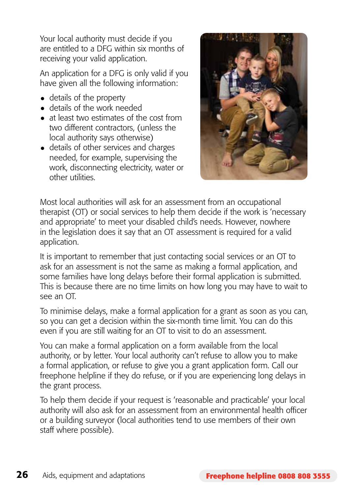Your local authority must decide if you are entitled to a DFG within six months of receiving your valid application.

An application for a DFG is only valid if you have given all the following information:

- details of the property
- details of the work needed
- at least two estimates of the cost from two different contractors, (unless the local authority says otherwise)
- details of other services and charges needed, for example, supervising the work, disconnecting electricity, water or other utilities.



Most local authorities will ask for an assessment from an occupational therapist (OT) or social services to help them decide if the work is 'necessary and appropriate' to meet your disabled child's needs. However, nowhere in the legislation does it say that an OT assessment is required for a valid application.

It is important to remember that just contacting social services or an OT to ask for an assessment is not the same as making a formal application, and some families have long delays before their formal application is submitted. This is because there are no time limits on how long you may have to wait to see an OT.

To minimise delays, make a formal application for a grant as soon as you can, so you can get a decision within the six-month time limit. You can do this even if you are still waiting for an OT to visit to do an assessment.

You can make a formal application on a form available from the local authority, or by letter. Your local authority can't refuse to allow you to make a formal application, or refuse to give you a grant application form. Call our freephone helpline if they do refuse, or if you are experiencing long delays in the grant process.

To help them decide if your request is 'reasonable and practicable' your local authority will also ask for an assessment from an environmental health officer or a building surveyor (local authorities tend to use members of their own staff where possible).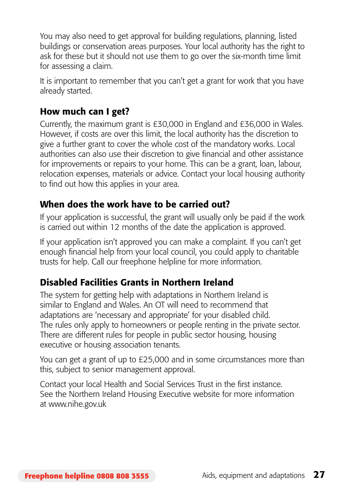You may also need to get approval for building regulations, planning, listed buildings or conservation areas purposes. Your local authority has the right to ask for these but it should not use them to go over the six-month time limit for assessing a claim.

It is important to remember that you can't get a grant for work that you have already started.

#### How much can I get?

Currently, the maximum grant is £30,000 in England and £36,000 in Wales. However, if costs are over this limit, the local authority has the discretion to give a further grant to cover the whole cost of the mandatory works. Local authorities can also use their discretion to give financial and other assistance for improvements or repairs to your home. This can be a grant, loan, labour, relocation expenses, materials or advice. Contact your local housing authority to find out how this applies in your area.

#### When does the work have to be carried out?

If your application is successful, the grant will usually only be paid if the work is carried out within 12 months of the date the application is approved.

If your application isn't approved you can make a complaint. If you can't get enough financial help from your local council, you could apply to charitable trusts for help. Call our freephone helpline for more information.

#### Disabled Facilities Grants in Northern Ireland

The system for getting help with adaptations in Northern Ireland is similar to England and Wales. An OT will need to recommend that adaptations are 'necessary and appropriate' for your disabled child. The rules only apply to homeowners or people renting in the private sector. There are different rules for people in public sector housing, housing executive or housing association tenants.

You can get a grant of up to £25,000 and in some circumstances more than this, subject to senior management approval.

Contact your local Health and Social Services Trust in the first instance. See the Northern Ireland Housing Executive website for more information at www.nihe.gov.uk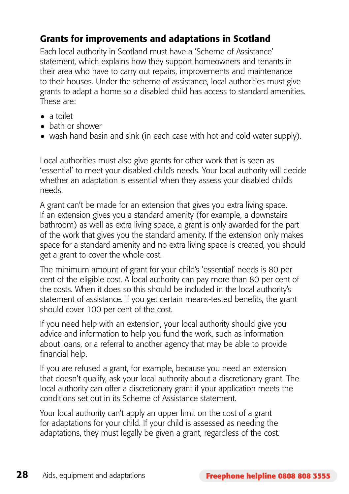### Grants for improvements and adaptations in Scotland

Each local authority in Scotland must have a 'Scheme of Assistance' statement, which explains how they support homeowners and tenants in their area who have to carry out repairs, improvements and maintenance to their houses. Under the scheme of assistance, local authorities must give grants to adapt a home so a disabled child has access to standard amenities. These are:

- • a toilet
- bath or shower
- wash hand basin and sink (in each case with hot and cold water supply).

Local authorities must also give grants for other work that is seen as 'essential' to meet your disabled child's needs. Your local authority will decide whether an adaptation is essential when they assess your disabled child's needs.

A grant can't be made for an extension that gives you extra living space. If an extension gives you a standard amenity (for example, a downstairs bathroom) as well as extra living space, a grant is only awarded for the part of the work that gives you the standard amenity. If the extension only makes space for a standard amenity and no extra living space is created, you should get a grant to cover the whole cost.

The minimum amount of grant for your child's 'essential' needs is 80 per cent of the eligible cost. A local authority can pay more than 80 per cent of the costs. When it does so this should be included in the local authority's statement of assistance. If you get certain means-tested benefits, the grant should cover 100 per cent of the cost.

If you need help with an extension, your local authority should give you advice and information to help you fund the work, such as information about loans, or a referral to another agency that may be able to provide financial help.

If you are refused a grant, for example, because you need an extension that doesn't qualify, ask your local authority about a discretionary grant. The local authority can offer a discretionary grant if your application meets the conditions set out in its Scheme of Assistance statement.

Your local authority can't apply an upper limit on the cost of a grant for adaptations for your child. If your child is assessed as needing the adaptations, they must legally be given a grant, regardless of the cost.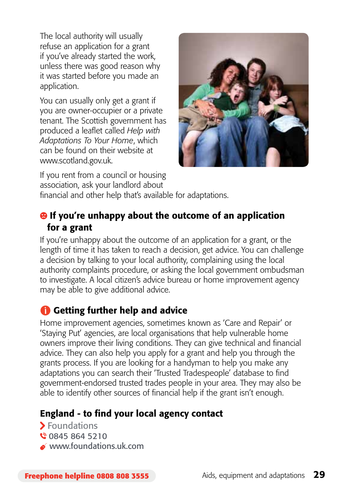The local authority will usually refuse an application for a grant if you've already started the work, unless there was good reason why it was started before you made an application.

You can usually only get a grant if you are owner-occupier or a private tenant. The Scottish government has produced a leaflet called *Help with Adaptations To Your Home*, which can be found on their website at www.scotland.gov.uk.



If you rent from a council or housing association, ask your landlord about financial and other help that's available for adaptations.

### $\Theta$  If you're unhappy about the outcome of an application for a grant

If you're unhappy about the outcome of an application for a grant, or the length of time it has taken to reach a decision, get advice. You can challenge a decision by talking to your local authority, complaining using the local authority complaints procedure, or asking the local government ombudsman to investigate. A local citizen's advice bureau or home improvement agency may be able to give additional advice.

## Getting further help and advice

Home improvement agencies, sometimes known as 'Care and Repair' or 'Staying Put' agencies, are local organisations that help vulnerable home owners improve their living conditions. They can give technical and financial advice. They can also help you apply for a grant and help you through the grants process. If you are looking for a handyman to help you make any adaptations you can search their 'Trusted Tradespeople' database to find government-endorsed trusted trades people in your area. They may also be able to identify other sources of financial help if the grant isn't enough.

### England - to find your local agency contact

> Foundations 0845 864 5210 www.foundations.uk.com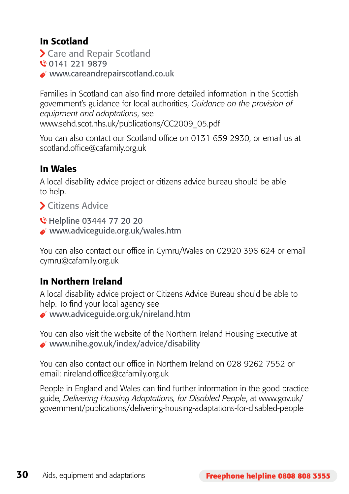### In Scotland

- Care and Repair Scotland
- 0141 221 9879
- $\bullet$  www.careandrepairscotland.co.uk

Families in Scotland can also find more detailed information in the Scottish government's guidance for local authorities, *Guidance on the provision of equipment and adaptations*, see www.sehd.scot.nhs.uk/publications/CC2009\_05.pdf

You can also contact our Scotland office on 0131 659 2930, or email us at scotland.office@cafamily.org.uk

#### In Wales

A local disability advice project or citizens advice bureau should be able to help. -

- Citizens Advice
- **C** Helpline 03444 77 20 20
- www.adviceguide.org.uk/wales.htm

You can also contact our office in Cymru/Wales on 02920 396 624 or email cymru@cafamily.org.uk

## In Northern Ireland

A local disability advice project or Citizens Advice Bureau should be able to help. To find your local agency see www.adviceguide.org.uk/nireland.htm

You can also visit the website of the Northern Ireland Housing Executive at www.nihe.gov.uk/index/advice/disability

You can also contact our office in Northern Ireland on 028 9262 7552 or email: nireland.office@cafamily.org.uk

People in England and Wales can find further information in the good practice guide, *Delivering Housing Adaptations, for Disabled People*, at www.gov.uk/ government/publications/delivering-housing-adaptations-for-disabled-people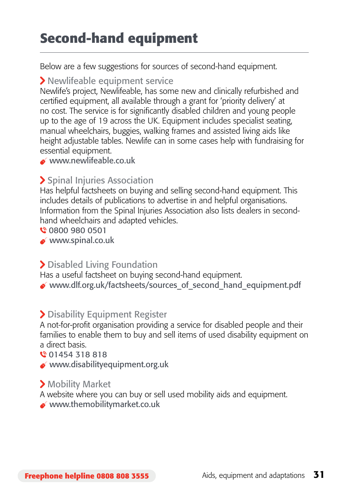## **Second-hand equipment**

Below are a few suggestions for sources of second-hand equipment.

#### Newlifeable equipment service

Newlife's project, Newlifeable, has some new and clinically refurbished and certified equipment, all available through a grant for 'priority delivery' at no cost. The service is for significantly disabled children and young people up to the age of 19 across the UK. Equipment includes specialist seating, manual wheelchairs, buggies, walking frames and assisted living aids like height adjustable tables. Newlife can in some cases help with fundraising for essential equipment.

www.newlifeable.co.uk

### > Spinal Injuries Association

Has helpful factsheets on buying and selling second-hand equipment. This includes details of publications to advertise in and helpful organisations. Information from the Spinal Injuries Association also lists dealers in secondhand wheelchairs and adapted vehicles.

0800 980 0501

www.spinal.co.uk

### > Disabled Living Foundation

Has a useful factsheet on buying second-hand equipment.

www.dlf.org.uk/factsheets/sources\_of\_second\_hand\_equipment.pdf

#### Disability Equipment Register

A not-for-profit organisation providing a service for disabled people and their families to enable them to buy and sell items of used disability equipment on a direct basis.

01454 318 818

 $\bullet$  www.disabilityequipment.org.uk

#### Mobility Market

A website where you can buy or sell used mobility aids and equipment.

 $\bullet$  www.themobilitymarket.co.uk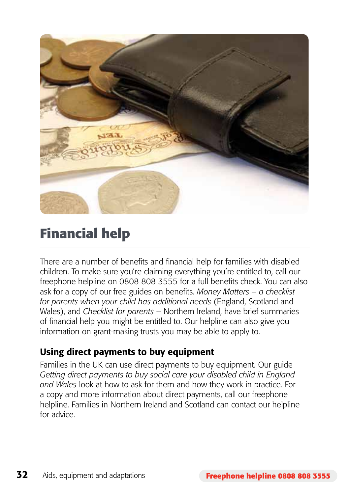

## **Financial help**

There are a number of benefits and financial help for families with disabled children. To make sure you're claiming everything you're entitled to, call our freephone helpline on 0808 808 3555 for a full benefits check. You can also ask for a copy of our free guides on benefits. *Money Matters – a checklist for parents when your child has additional needs* (England, Scotland and Wales), and *Checklist for parents* – Northern Ireland, have brief summaries of financial help you might be entitled to. Our helpline can also give you information on grant-making trusts you may be able to apply to.

#### Using direct payments to buy equipment

Families in the UK can use direct payments to buy equipment. Our guide *Getting direct payments to buy social care your disabled child in England and Wales* look at how to ask for them and how they work in practice. For a copy and more information about direct payments, call our freephone helpline. Families in Northern Ireland and Scotland can contact our helpline for advice.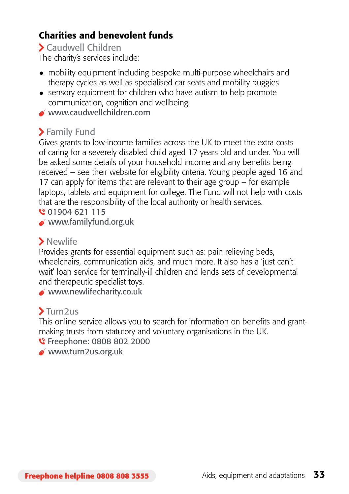### Charities and benevolent funds

#### Caudwell Children

The charity's services include:

- mobility equipment including bespoke multi-purpose wheelchairs and therapy cycles as well as specialised car seats and mobility buggies
- $\bullet$  sensory equipment for children who have autism to help promote communication, cognition and wellbeing.
- www.caudwellchildren.com

### > Family Fund

Gives grants to low-income families across the UK to meet the extra costs of caring for a severely disabled child aged 17 years old and under. You will be asked some details of your household income and any benefits being received – see their website for eligibility criteria. Young people aged 16 and 17 can apply for items that are relevant to their age group – for example laptops, tablets and equipment for college. The Fund will not help with costs that are the responsibility of the local authority or health services.

01904 621 115

www.familyfund.org.uk

## > Newlife

Provides grants for essential equipment such as: pain relieving beds, wheelchairs, communication aids, and much more. It also has a 'just can't wait' loan service for terminally-ill children and lends sets of developmental and therapeutic specialist toys.

www.newlifecharity.co.uk

## Turn2us

This online service allows you to search for information on benefits and grantmaking trusts from statutory and voluntary organisations in the UK.

**€** Freephone: 0808 802 2000

www.turn2us.org.uk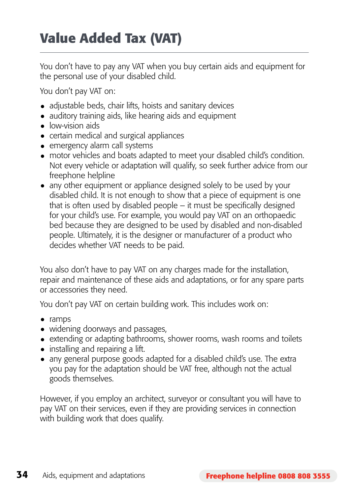## **Value Added Tax (VAT)**

You don't have to pay any VAT when you buy certain aids and equipment for the personal use of your disabled child.

You don't pay VAT on:

- adjustable beds, chair lifts, hoists and sanitary devices
- auditory training aids, like hearing aids and equipment
- low-vision aids
- certain medical and surgical appliances
- emergency alarm call systems
- motor vehicles and boats adapted to meet your disabled child's condition. Not every vehicle or adaptation will qualify, so seek further advice from our freephone helpline
- any other equipment or appliance designed solely to be used by your disabled child. It is not enough to show that a piece of equipment is one that is often used by disabled people – it must be specifically designed for your child's use. For example, you would pay VAT on an orthopaedic bed because they are designed to be used by disabled and non-disabled people. Ultimately, it is the designer or manufacturer of a product who decides whether VAT needs to be paid.

You also don't have to pay VAT on any charges made for the installation, repair and maintenance of these aids and adaptations, or for any spare parts or accessories they need.

You don't pay VAT on certain building work. This includes work on:

- • ramps
- widening doorways and passages,
- extending or adapting bathrooms, shower rooms, wash rooms and toilets
- $\bullet$  installing and repairing a lift.
- any general purpose goods adapted for a disabled child's use. The extra you pay for the adaptation should be VAT free, although not the actual goods themselves.

However, if you employ an architect, surveyor or consultant you will have to pay VAT on their services, even if they are providing services in connection with building work that does qualify.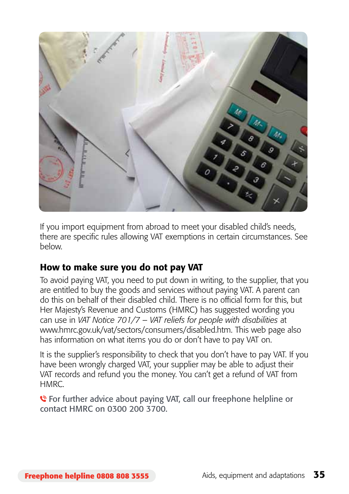

If you import equipment from abroad to meet your disabled child's needs, there are specific rules allowing VAT exemptions in certain circumstances. See below.

#### How to make sure you do not pay VAT

To avoid paying VAT, you need to put down in writing, to the supplier, that you are entitled to buy the goods and services without paying VAT. A parent can do this on behalf of their disabled child. There is no official form for this, but Her Majesty's Revenue and Customs (HMRC) has suggested wording you can use in *VAT Notice 701/7 – VAT reliefs for people with disabilities* at www.hmrc.gov.uk/vat/sectors/consumers/disabled.htm. This web page also has information on what items you do or don't have to pay VAT on.

It is the supplier's responsibility to check that you don't have to pay VAT. If you have been wrongly charged VAT, your supplier may be able to adjust their VAT records and refund you the money. You can't get a refund of VAT from **HMRC** 

**C** For further advice about paying VAT, call our freephone helpline or contact HMRC on 0300 200 3700.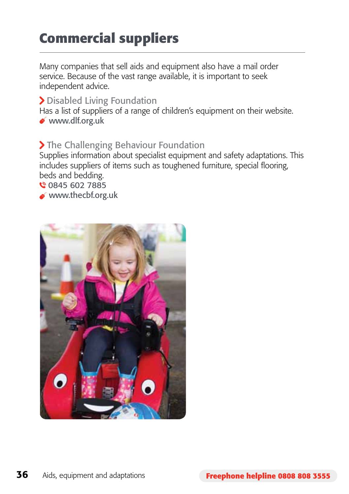## **Commercial suppliers**

Many companies that sell aids and equipment also have a mail order service. Because of the vast range available, it is important to seek independent advice.

#### > Disabled Living Foundation

Has a list of suppliers of a range of children's equipment on their website. www.dlf.org.uk

#### > The Challenging Behaviour Foundation

Supplies information about specialist equipment and safety adaptations. This includes suppliers of items such as toughened furniture, special flooring, beds and bedding.

0845 602 7885

www.thecbf.org.uk

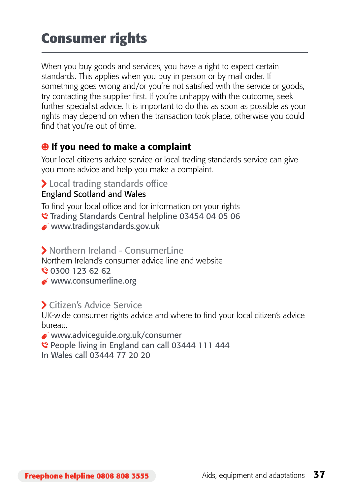## **Consumer rights**

When you buy goods and services, you have a right to expect certain standards. This applies when you buy in person or by mail order. If something goes wrong and/or you're not satisfied with the service or goods, try contacting the supplier first. If you're unhappy with the outcome, seek further specialist advice. It is important to do this as soon as possible as your rights may depend on when the transaction took place, otherwise you could find that you're out of time.

### <sup>9</sup> If you need to make a complaint

Your local citizens advice service or local trading standards service can give you more advice and help you make a complaint.

#### > Local trading standards office

#### England Scotland and Wales

To find your local office and for information on your rights

- Trading Standards Central helpline 03454 04 05 06
- www.tradingstandards.gov.uk

#### S Northern Ireland - ConsumerLine

Northern Ireland's consumer advice line and website

0300 123 62 62

www.consumerline.org

#### Citizen's Advice Service

UK-wide consumer rights advice and where to find your local citizen's advice bureau.

www.adviceguide.org.uk/consumer

People living in England can call 03444 111 444

In Wales call 03444 77 20 20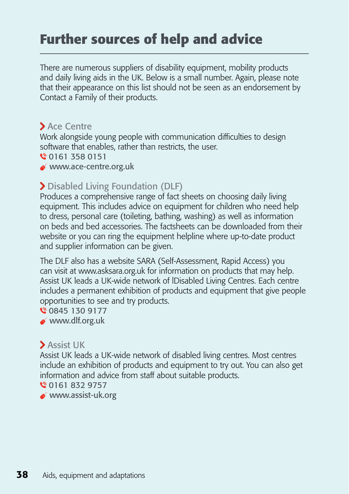## **Further sources of help and advice**

There are numerous suppliers of disability equipment, mobility products and daily living aids in the UK. Below is a small number. Again, please note that their appearance on this list should not be seen as an endorsement by Contact a Family of their products.

#### Ace Centre

Work alongside young people with communication difficulties to design software that enables, rather than restricts, the user.

0161 358 0151

www.ace-centre.org.uk

#### Disabled Living Foundation (DLF)

Produces a comprehensive range of fact sheets on choosing daily living equipment. This includes advice on equipment for children who need help to dress, personal care (toileting, bathing, washing) as well as information on beds and bed accessories. The factsheets can be downloaded from their website or you can ring the equipment helpline where up-to-date product and supplier information can be given.

The DLF also has a website SARA (Self-Assessment, Rapid Access) you can visit at www.asksara.org.uk for information on products that may help. Assist UK leads a UK-wide network of lDisabled Living Centres. Each centre includes a permanent exhibition of products and equipment that give people opportunities to see and try products.

0845 130 9177

www.dlf.org.uk

### Assist UK

Assist UK leads a UK-wide network of disabled living centres. Most centres include an exhibition of products and equipment to try out. You can also get information and advice from staff about suitable products.

0161 832 9757

www.assist-uk.org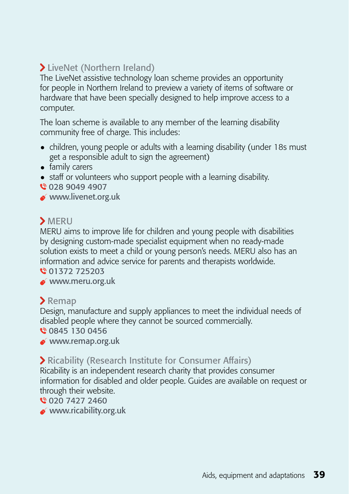## LiveNet (Northern Ireland)

The LiveNet assistive technology loan scheme provides an opportunity for people in Northern Ireland to preview a variety of items of software or hardware that have been specially designed to help improve access to a computer.

The loan scheme is available to any member of the learning disability community free of charge. This includes:

- children, young people or adults with a learning disability (under 18s must get a responsible adult to sign the agreement)
- family carers
- staff or volunteers who support people with a learning disability.
- 028 9049 4907
- www.livenet.org.uk

#### > MERU

MERU aims to improve life for children and young people with disabilities by designing custom-made specialist equipment when no ready-made solution exists to meet a child or young person's needs. MERU also has an information and advice service for parents and therapists worldwide.

01372 725203

www.meru.org.uk

#### $\sum$  Remap

Design, manufacture and supply appliances to meet the individual needs of disabled people where they cannot be sourced commercially.

0845 130 0456

www.remap.org.uk

#### Ricability (Research Institute for Consumer Affairs)

Ricability is an independent research charity that provides consumer information for disabled and older people. Guides are available on request or through their website.

#### 020 7427 2460

www.ricability.org.uk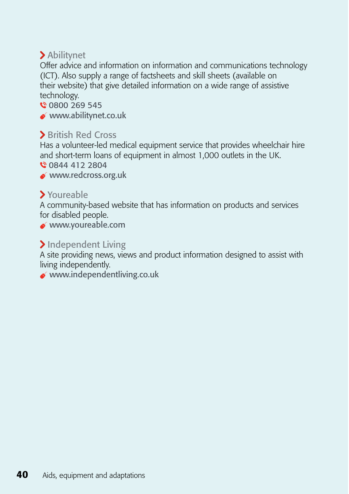### Abilitynet

Offer advice and information on information and communications technology (ICT). Also supply a range of factsheets and skill sheets (available on their website) that give detailed information on a wide range of assistive technology.

€ 0800 269 545

www.abilitynet.co.uk

#### **>** British Red Cross

Has a volunteer-led medical equipment service that provides wheelchair hire and short-term loans of equipment in almost 1,000 outlets in the UK.

0844 412 2804

www.redcross.org.uk

#### Youreable

A community-based website that has information on products and services for disabled people.

www.youreable.com

#### > Independent Living

A site providing news, views and product information designed to assist with living independently.

 $w$ www.independentliving.co.uk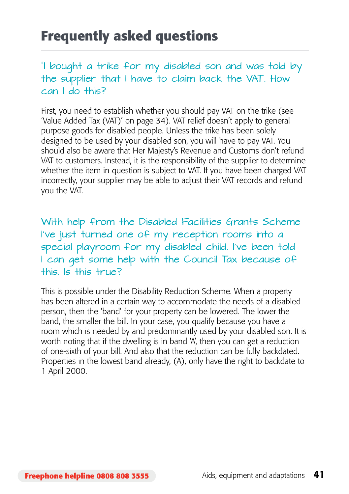## **Frequently asked questions**

"I bought a trike for my disabled son and was told by the supplier that I have to claim back the VAT. How can I do this?

First, you need to establish whether you should pay VAT on the trike (see 'Value Added Tax (VAT)' on page 34). VAT relief doesn't apply to general purpose goods for disabled people. Unless the trike has been solely designed to be used by your disabled son, you will have to pay VAT. You should also be aware that Her Majesty's Revenue and Customs don't refund VAT to customers. Instead, it is the responsibility of the supplier to determine whether the item in question is subject to VAT. If you have been charged VAT incorrectly, your supplier may be able to adjust their VAT records and refund you the VAT.

With help from the Disabled Facilities Grants Scheme I've just turned one of my reception rooms into a special playroom for my disabled child. I've been told I can get some help with the Council Tax because of this. Is this true?

This is possible under the Disability Reduction Scheme. When a property has been altered in a certain way to accommodate the needs of a disabled person, then the 'band' for your property can be lowered. The lower the band, the smaller the bill. In your case, you qualify because you have a room which is needed by and predominantly used by your disabled son. It is worth noting that if the dwelling is in band 'A', then you can get a reduction of one-sixth of your bill. And also that the reduction can be fully backdated. Properties in the lowest band already, (A), only have the right to backdate to 1 April 2000.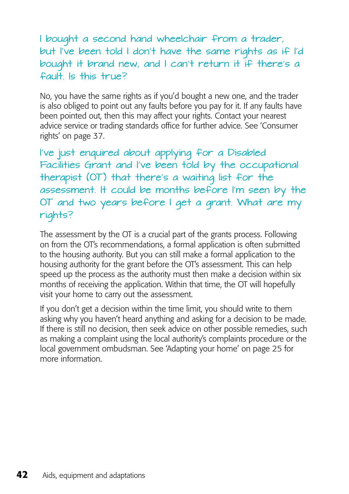I bought a second hand wheelchair from a trader, but I've been told I don't have the same rights as if I'd bought it brand new, and I can't return it if there's a fault. Is this true?

No, you have the same rights as if you'd bought a new one, and the trader is also obliged to point out any faults before you pay for it. If any faults have been pointed out, then this may affect your rights. Contact your nearest advice service or trading standards office for further advice. See 'Consumer rights' on page 37.

I've just enquired about applying for a Disabled Facilities Grant and I've been told by the occupational therapist (OT) that there's a waiting list for the assessment. It could be months before I'm seen by the OT and two years before I get a grant. What are my rights?

The assessment by the OT is a crucial part of the grants process. Following on from the OT's recommendations, a formal application is often submitted to the housing authority. But you can still make a formal application to the housing authority for the grant before the OT's assessment. This can help speed up the process as the authority must then make a decision within six months of receiving the application. Within that time, the OT will hopefully visit your home to carry out the assessment.

If you don't get a decision within the time limit, you should write to them asking why you haven't heard anything and asking for a decision to be made. If there is still no decision, then seek advice on other possible remedies, such as making a complaint using the local authority's complaints procedure or the local government ombudsman. See 'Adapting your home' on page 25 for more information.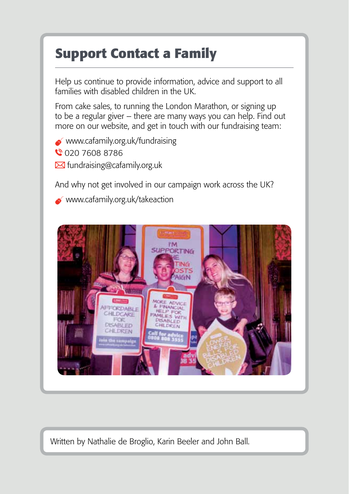## **Support Contact a Family**

Help us continue to provide information, advice and support to all families with disabled children in the UK.

From cake sales, to running the London Marathon, or signing up to be a regular giver – there are many ways you can help. Find out more on our website, and get in touch with our fundraising team:

 $\bullet$  www.cafamily.org.uk/fundraising 020 7608 8786  $\boxtimes$  fundraising@cafamily.org.uk

And why not get involved in our campaign work across the UK?

www.cafamily.org.uk/takeaction



Written by Nathalie de Broglio, Karin Beeler and John Ball.